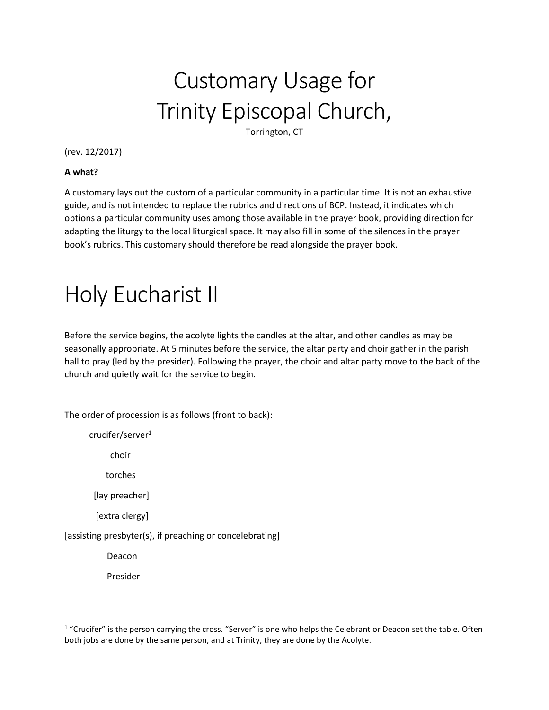## Customary Usage for Trinity Episcopal Church,

Torrington, CT

(rev. 12/2017)

## **A what?**

A customary lays out the custom of a particular community in a particular time. It is not an exhaustive guide, and is not intended to replace the rubrics and directions of BCP. Instead, it indicates which options a particular community uses among those available in the prayer book, providing direction for adapting the liturgy to the local liturgical space. It may also fill in some of the silences in the prayer book's rubrics. This customary should therefore be read alongside the prayer book.

## Holy Eucharist II

Before the service begins, the acolyte lights the candles at the altar, and other candles as may be seasonally appropriate. At 5 minutes before the service, the altar party and choir gather in the parish hall to pray (led by the presider). Following the prayer, the choir and altar party move to the back of the church and quietly wait for the service to begin.

The order of procession is as follows (front to back):

crucifer/server<sup>1</sup>

choir

torches

[lay preacher]

[extra clergy]

[assisting presbyter(s), if preaching or concelebrating]

Deacon

Presider

l

 $1$  "Crucifer" is the person carrying the cross. "Server" is one who helps the Celebrant or Deacon set the table. Often both jobs are done by the same person, and at Trinity, they are done by the Acolyte.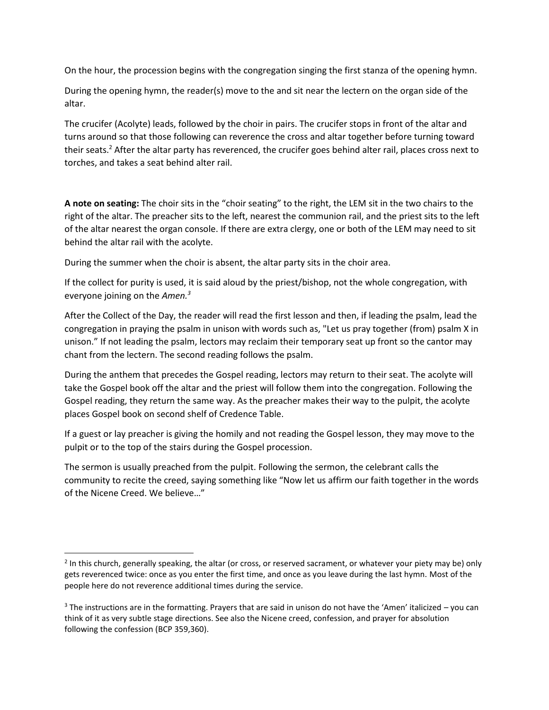On the hour, the procession begins with the congregation singing the first stanza of the opening hymn.

During the opening hymn, the reader(s) move to the and sit near the lectern on the organ side of the altar.

The crucifer (Acolyte) leads, followed by the choir in pairs. The crucifer stops in front of the altar and turns around so that those following can reverence the cross and altar together before turning toward their seats.<sup>2</sup> After the altar party has reverenced, the crucifer goes behind alter rail, places cross next to torches, and takes a seat behind alter rail.

**A note on seating:** The choir sits in the "choir seating" to the right, the LEM sit in the two chairs to the right of the altar. The preacher sits to the left, nearest the communion rail, and the priest sits to the left of the altar nearest the organ console. If there are extra clergy, one or both of the LEM may need to sit behind the altar rail with the acolyte.

During the summer when the choir is absent, the altar party sits in the choir area.

If the collect for purity is used, it is said aloud by the priest/bishop, not the whole congregation, with everyone joining on the *Amen.<sup>3</sup>*

After the Collect of the Day, the reader will read the first lesson and then, if leading the psalm, lead the congregation in praying the psalm in unison with words such as, "Let us pray together (from) psalm X in unison." If not leading the psalm, lectors may reclaim their temporary seat up front so the cantor may chant from the lectern. The second reading follows the psalm.

During the anthem that precedes the Gospel reading, lectors may return to their seat. The acolyte will take the Gospel book off the altar and the priest will follow them into the congregation. Following the Gospel reading, they return the same way. As the preacher makes their way to the pulpit, the acolyte places Gospel book on second shelf of Credence Table.

If a guest or lay preacher is giving the homily and not reading the Gospel lesson, they may move to the pulpit or to the top of the stairs during the Gospel procession.

The sermon is usually preached from the pulpit. Following the sermon, the celebrant calls the community to recite the creed, saying something like "Now let us affirm our faith together in the words of the Nicene Creed. We believe…"

 $\overline{\phantom{a}}$ 

<sup>&</sup>lt;sup>2</sup> In this church, generally speaking, the altar (or cross, or reserved sacrament, or whatever your piety may be) only gets reverenced twice: once as you enter the first time, and once as you leave during the last hymn. Most of the people here do not reverence additional times during the service.

 $3$  The instructions are in the formatting. Prayers that are said in unison do not have the 'Amen' italicized – you can think of it as very subtle stage directions. See also the Nicene creed, confession, and prayer for absolution following the confession (BCP 359,360).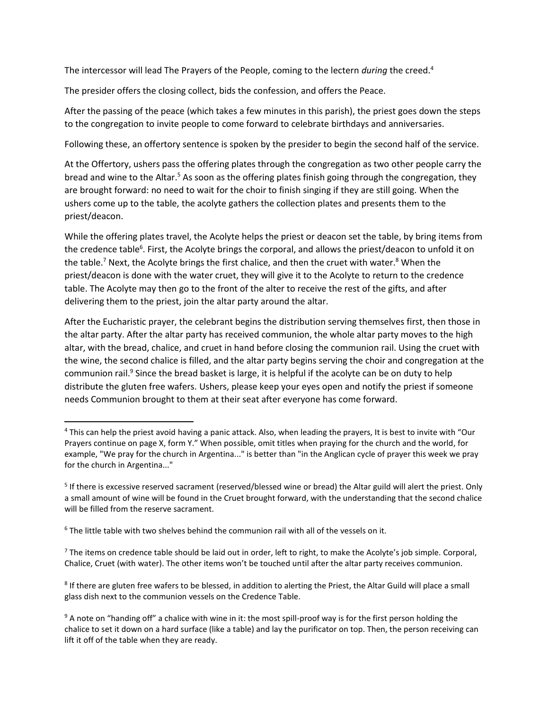The intercessor will lead The Prayers of the People, coming to the lectern *during* the creed.<sup>4</sup>

The presider offers the closing collect, bids the confession, and offers the Peace.

After the passing of the peace (which takes a few minutes in this parish), the priest goes down the steps to the congregation to invite people to come forward to celebrate birthdays and anniversaries.

Following these, an offertory sentence is spoken by the presider to begin the second half of the service.

At the Offertory, ushers pass the offering plates through the congregation as two other people carry the bread and wine to the Altar.<sup>5</sup> As soon as the offering plates finish going through the congregation, they are brought forward: no need to wait for the choir to finish singing if they are still going. When the ushers come up to the table, the acolyte gathers the collection plates and presents them to the priest/deacon.

While the offering plates travel, the Acolyte helps the priest or deacon set the table, by bring items from the credence table<sup>6</sup>. First, the Acolyte brings the corporal, and allows the priest/deacon to unfold it on the table.<sup>7</sup> Next, the Acolyte brings the first chalice, and then the cruet with water.<sup>8</sup> When the priest/deacon is done with the water cruet, they will give it to the Acolyte to return to the credence table. The Acolyte may then go to the front of the alter to receive the rest of the gifts, and after delivering them to the priest, join the altar party around the altar.

After the Eucharistic prayer, the celebrant begins the distribution serving themselves first, then those in the altar party. After the altar party has received communion, the whole altar party moves to the high altar, with the bread, chalice, and cruet in hand before closing the communion rail. Using the cruet with the wine, the second chalice is filled, and the altar party begins serving the choir and congregation at the communion rail.<sup>9</sup> Since the bread basket is large, it is helpful if the acolyte can be on duty to help distribute the gluten free wafers. Ushers, please keep your eyes open and notify the priest if someone needs Communion brought to them at their seat after everyone has come forward.

l

<sup>&</sup>lt;sup>4</sup> This can help the priest avoid having a panic attack. Also, when leading the prayers, It is best to invite with "Our Prayers continue on page X, form Y." When possible, omit titles when praying for the church and the world, for example, "We pray for the church in Argentina..." is better than "in the Anglican cycle of prayer this week we pray for the church in Argentina..."

<sup>&</sup>lt;sup>5</sup> If there is excessive reserved sacrament (reserved/blessed wine or bread) the Altar guild will alert the priest. Only a small amount of wine will be found in the Cruet brought forward, with the understanding that the second chalice will be filled from the reserve sacrament.

 $6$  The little table with two shelves behind the communion rail with all of the vessels on it.

 $7$  The items on credence table should be laid out in order, left to right, to make the Acolyte's job simple. Corporal, Chalice, Cruet (with water). The other items won't be touched until after the altar party receives communion.

<sup>&</sup>lt;sup>8</sup> If there are gluten free wafers to be blessed, in addition to alerting the Priest, the Altar Guild will place a small glass dish next to the communion vessels on the Credence Table.

 $9$  A note on "handing off" a chalice with wine in it: the most spill-proof way is for the first person holding the chalice to set it down on a hard surface (like a table) and lay the purificator on top. Then, the person receiving can lift it off of the table when they are ready.